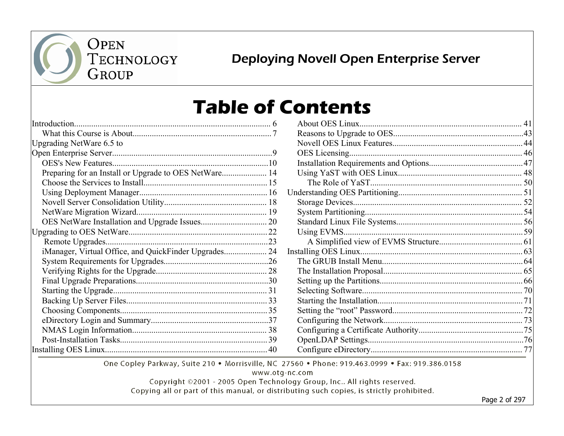

# **Table of Contents**

| Upgrading NetWare 6.5 to |  |
|--------------------------|--|
|                          |  |
|                          |  |
|                          |  |
|                          |  |
|                          |  |
|                          |  |
|                          |  |
|                          |  |
|                          |  |
|                          |  |
|                          |  |
|                          |  |
|                          |  |
|                          |  |
|                          |  |
|                          |  |
|                          |  |
|                          |  |
|                          |  |
|                          |  |
|                          |  |

| $6.5$ to |  |  |
|----------|--|--|
|          |  |  |
|          |  |  |
|          |  |  |
|          |  |  |
|          |  |  |
|          |  |  |
|          |  |  |
|          |  |  |
|          |  |  |
|          |  |  |
|          |  |  |
|          |  |  |
|          |  |  |
|          |  |  |
|          |  |  |
|          |  |  |
|          |  |  |
|          |  |  |
|          |  |  |
|          |  |  |
|          |  |  |

www.otg-nc.com

Copyright ©2001 - 2005 Open Technology Group, Inc.. All rights reserved.

Copying all or part of this manual, or distributing such copies, is strictly prohibited.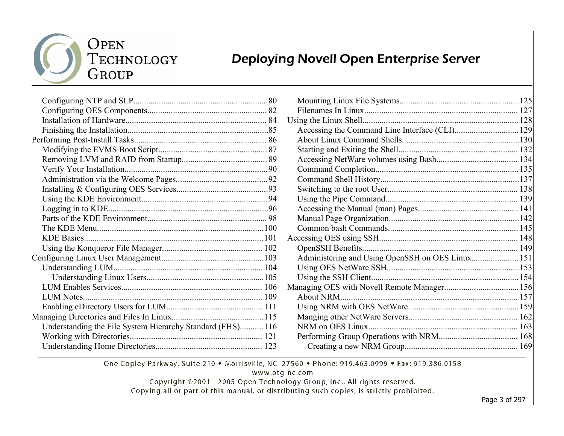

| LUM Notes                                                 |  |
|-----------------------------------------------------------|--|
|                                                           |  |
|                                                           |  |
| Understanding the File System Hierarchy Standard (FHS)116 |  |
|                                                           |  |
|                                                           |  |
|                                                           |  |

| Administering and Using OpenSSH on OES Linux 151 |  |
|--------------------------------------------------|--|
|                                                  |  |
|                                                  |  |
|                                                  |  |
|                                                  |  |
|                                                  |  |
|                                                  |  |
|                                                  |  |
|                                                  |  |
|                                                  |  |
|                                                  |  |

One Copley Parkway, Suite 210 . Morrisville, NC 27560 . Phone: 919.463.0999 . Fax: 919.386.0158

www.otg-nc.com

Copyright ©2001 - 2005 Open Technology Group, Inc.. All rights reserved.

Copying all or part of this manual, or distributing such copies, is strictly prohibited.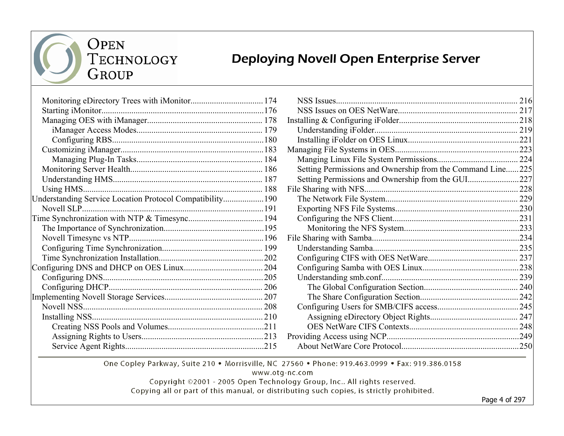

| Understanding Service Location Protocol Compatibility 190 |  |
|-----------------------------------------------------------|--|
|                                                           |  |
|                                                           |  |
|                                                           |  |
|                                                           |  |
|                                                           |  |
|                                                           |  |
|                                                           |  |
|                                                           |  |
|                                                           |  |
|                                                           |  |
|                                                           |  |
| Installing NSS                                            |  |
|                                                           |  |
|                                                           |  |
|                                                           |  |

| Setting Permissions and Ownership from the Command Line225 |  |
|------------------------------------------------------------|--|
| Setting Permissions and Ownership from the GUI227          |  |
|                                                            |  |
|                                                            |  |
|                                                            |  |
|                                                            |  |
|                                                            |  |
|                                                            |  |
|                                                            |  |
|                                                            |  |
|                                                            |  |
|                                                            |  |
|                                                            |  |
|                                                            |  |
|                                                            |  |
|                                                            |  |
|                                                            |  |
|                                                            |  |
|                                                            |  |
|                                                            |  |

One Copley Parkway, Suite 210 . Morrisville, NC 27560 . Phone: 919.463.0999 . Fax: 919.386.0158

www.otg-nc.com

Copyright ©2001 - 2005 Open Technology Group, Inc.. All rights reserved.

Copying all or part of this manual, or distributing such copies, is strictly prohibited.